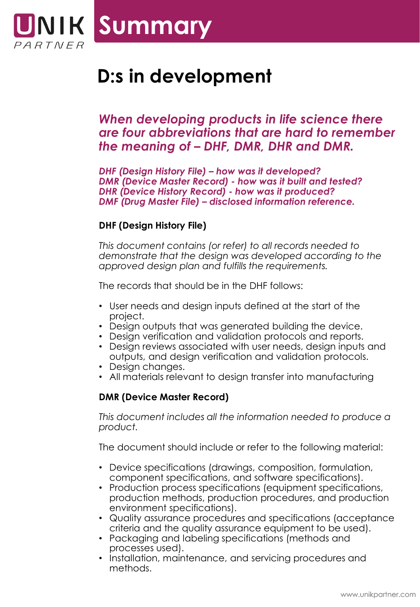

# **D:s in development**

*When developing products in life science there are four abbreviations that are hard to remember the meaning of – DHF, DMR, DHR and DMR.* 

*DHF (Design History File) – how was it developed? DMR (Device Master Record) - how was it built and tested? DHR (Device History Record) - how was it produced? DMF (Drug Master File) – disclosed information reference.*

## **DHF (Design History File)**

*This document contains (or refer) to all records needed to demonstrate that the design was developed according to the approved design plan and fulfills the requirements.*

The records that should be in the DHF follows:

- User needs and design inputs defined at the start of the project.
- Design outputs that was generated building the device.
- Design verification and validation protocols and reports.
- Design reviews associated with user needs, design inputs and outputs, and design verification and validation protocols.
- Design changes.
- All materials relevant to design transfer into manufacturing

#### **DMR (Device Master Record)**

*This document includes all the information needed to produce a product.*

The document should include or refer to the following material:

- Device specifications (drawings, composition, formulation, component specifications, and software specifications).
- Production process specifications (equipment specifications, production methods, production procedures, and production environment specifications).
- Quality assurance procedures and specifications (acceptance criteria and the quality assurance equipment to be used).
- Packaging and labeling specifications (methods and processes used).
- Installation, maintenance, and servicing procedures and methods.